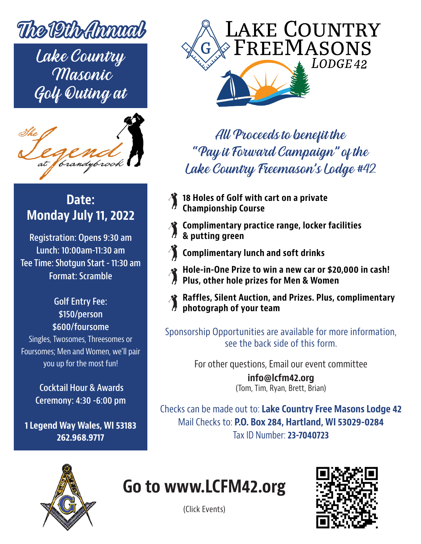

Lake Country Masonic Golf Outing at



#### **Date: Monday July 11, 2022**

**Registration: Opens 9:30 am Lunch: 10:00am-11:30 am Tee Time: Shotgun Start - 11:30 am Format: Scramble**

> **Golf Entry Fee: \$150/person \$600/foursome**

Singles, Twosomes, Threesomes or Foursomes; Men and Women, we'll pair you up for the most fun!

> **Cocktail Hour & Awards Ceremony: 4:30 -6:00 pm**

**1 Legend Way Wales, WI 53183 262.968.9717**



### All Proceeds to benefit the "Pay it Forward Campaign" of the Lake Country Freemason's Lodge #42

- **18 Holes of Golf with cart on a private Championship Course**
- **Complimentary practice range, locker facilities & putting green**
- **Complimentary lunch and soft drinks**
- **Hole-in-One Prize to win a new car or \$20,000 in cash! Plus, other hole prizes for Men & Women**
	-
	- **Raffles, Silent Auction, and Prizes. Plus, complimentary photograph of your team**

Sponsorship Opportunities are available for more information, see the back side of this form.

For other questions, Email our event committee

**info@lcfm42.org** (Tom, Tim, Ryan, Brett, Brian)

Checks can be made out to: **Lake Country Free Masons Lodge 42** Mail Checks to: **P.O. Box 284, Hartland, WI 53029-0284** Tax ID Number: **23-7040723**



## **Go to www.LCFM42.org**



(Click Events)